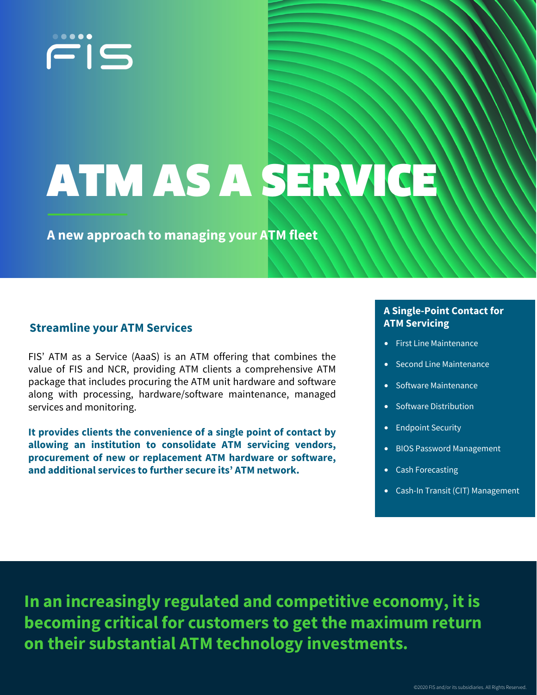

# ATM AS A SERVI

**A new approach to managing your ATM fleet**

## **Streamline your ATM Services**

FIS' ATM as a Service (AaaS) is an ATM offering that combines the value of FIS and NCR, providing ATM clients a comprehensive ATM package that includes procuring the ATM unit hardware and software along with processing, hardware/software maintenance, managed services and monitoring.

**It provides clients the convenience of a single point of contact by allowing an institution to consolidate ATM servicing vendors, procurement of new or replacement ATM hardware or software, and additional services to further secure its' ATM network.**

### **A Single-Point Contact for ATM Servicing**

- First Line Maintenance
- Second Line Maintenance
- Software Maintenance
- Software Distribution
- Endpoint Security
- BIOS Password Management
- Cash Forecasting
- Cash-In Transit (CIT) Management

**In an increasingly regulated and competitive economy, it is becoming critical for customers to get the maximum return on their substantial ATM technology investments.**